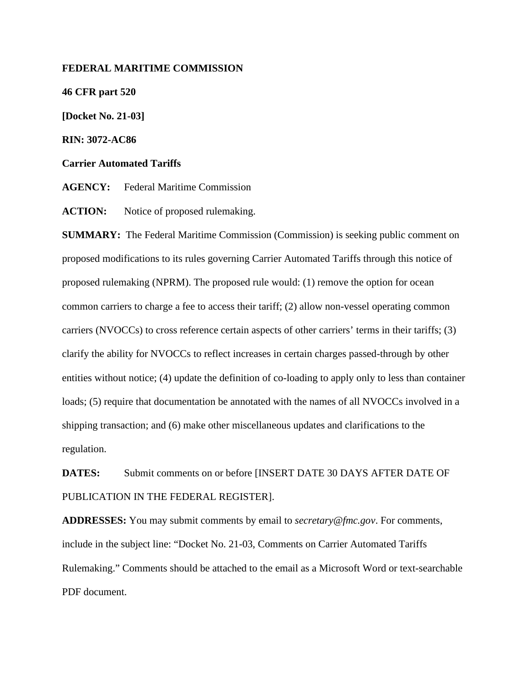## **FEDERAL MARITIME COMMISSION**

**46 CFR part 520 [Docket No. 21-03]**

**RIN: 3072-AC86**

**Carrier Automated Tariffs**

**AGENCY:** Federal Maritime Commission

**ACTION:** Notice of proposed rulemaking.

**SUMMARY:** The Federal Maritime Commission (Commission) is seeking public comment on proposed modifications to its rules governing Carrier Automated Tariffs through this notice of proposed rulemaking (NPRM). The proposed rule would: (1) remove the option for ocean common carriers to charge a fee to access their tariff; (2) allow non-vessel operating common carriers (NVOCCs) to cross reference certain aspects of other carriers' terms in their tariffs; (3) clarify the ability for NVOCCs to reflect increases in certain charges passed-through by other entities without notice; (4) update the definition of co-loading to apply only to less than container loads; (5) require that documentation be annotated with the names of all NVOCCs involved in a shipping transaction; and (6) make other miscellaneous updates and clarifications to the regulation.

**DATES:** Submit comments on or before [INSERT DATE 30 DAYS AFTER DATE OF PUBLICATION IN THE FEDERAL REGISTER].

**ADDRESSES:** You may submit comments by email to *secretary@fmc.gov*. For comments, include in the subject line: "Docket No. 21-03, Comments on Carrier Automated Tariffs Rulemaking." Comments should be attached to the email as a Microsoft Word or text-searchable PDF document.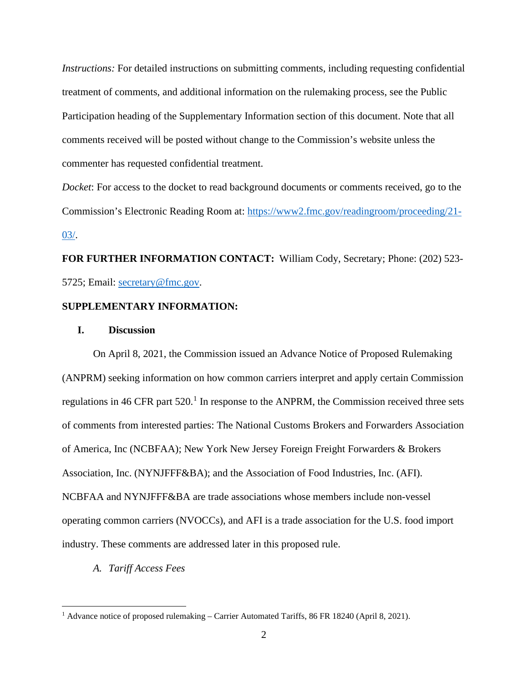*Instructions:* For detailed instructions on submitting comments, including requesting confidential treatment of comments, and additional information on the rulemaking process, see the Public Participation heading of the Supplementary Information section of this document. Note that all comments received will be posted without change to the Commission's website unless the commenter has requested confidential treatment.

*Docket*: For access to the docket to read background documents or comments received, go to the Commission's Electronic Reading Room at: [https://www2.fmc.gov/readingroom/proceeding/21-](https://www2.fmc.gov/readingroom/proceeding/21-03/) [03/.](https://www2.fmc.gov/readingroom/proceeding/21-03/)

**FOR FURTHER INFORMATION CONTACT:** William Cody, Secretary; Phone: (202) 523- 5725; Email: [secretary@fmc.gov.](mailto:secretary@fmc.gov)

## **SUPPLEMENTARY INFORMATION:**

#### **I. Discussion**

On April 8, 2021, the Commission issued an Advance Notice of Proposed Rulemaking (ANPRM) seeking information on how common carriers interpret and apply certain Commission regulations in 46 CFR part 520.<sup>[1](#page-1-0)</sup> In response to the ANPRM, the Commission received three sets of comments from interested parties: The National Customs Brokers and Forwarders Association of America, Inc (NCBFAA); New York New Jersey Foreign Freight Forwarders & Brokers Association, Inc. (NYNJFFF&BA); and the Association of Food Industries, Inc. (AFI). NCBFAA and NYNJFFF&BA are trade associations whose members include non-vessel operating common carriers (NVOCCs), and AFI is a trade association for the U.S. food import industry. These comments are addressed later in this proposed rule.

*A. Tariff Access Fees*

<span id="page-1-0"></span><sup>&</sup>lt;sup>1</sup> Advance notice of proposed rulemaking – Carrier Automated Tariffs, 86 FR 18240 (April 8, 2021).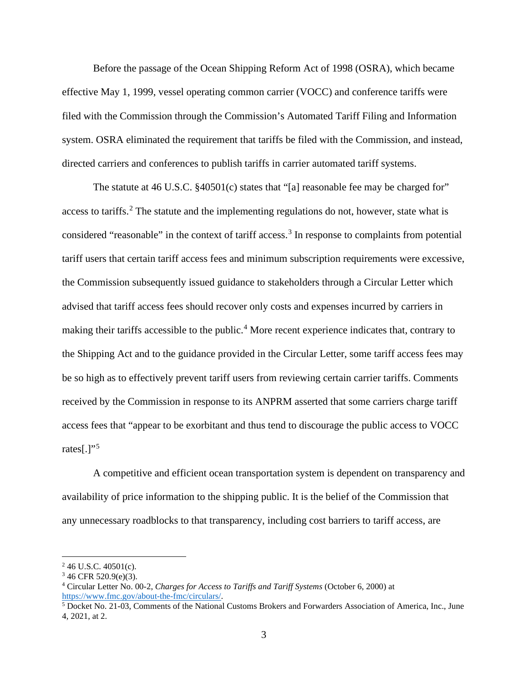Before the passage of the Ocean Shipping Reform Act of 1998 (OSRA), which became effective May 1, 1999, vessel operating common carrier (VOCC) and conference tariffs were filed with the Commission through the Commission's Automated Tariff Filing and Information system. OSRA eliminated the requirement that tariffs be filed with the Commission, and instead, directed carriers and conferences to publish tariffs in carrier automated tariff systems.

The statute at 46 U.S.C. §40501(c) states that "[a] reasonable fee may be charged for" access to tariffs.<sup>[2](#page-2-0)</sup> The statute and the implementing regulations do not, however, state what is considered "reasonable" in the context of tariff access.<sup>[3](#page-2-1)</sup> In response to complaints from potential tariff users that certain tariff access fees and minimum subscription requirements were excessive, the Commission subsequently issued guidance to stakeholders through a Circular Letter which advised that tariff access fees should recover only costs and expenses incurred by carriers in making their tariffs accessible to the public.<sup>[4](#page-2-2)</sup> More recent experience indicates that, contrary to the Shipping Act and to the guidance provided in the Circular Letter, some tariff access fees may be so high as to effectively prevent tariff users from reviewing certain carrier tariffs. Comments received by the Commission in response to its ANPRM asserted that some carriers charge tariff access fees that "appear to be exorbitant and thus tend to discourage the public access to VOCC rates[.]" $5$ 

A competitive and efficient ocean transportation system is dependent on transparency and availability of price information to the shipping public. It is the belief of the Commission that any unnecessary roadblocks to that transparency, including cost barriers to tariff access, are

<span id="page-2-0"></span> $246$  U.S.C.  $40501(c)$ .

<span id="page-2-1"></span> $346$  CFR 520.9(e)(3).

<span id="page-2-2"></span><sup>4</sup> Circular Letter No. 00-2, *Charges for Access to Tariffs and Tariff Systems* (October 6, 2000) at [https://www.fmc.gov/about-the-fmc/circulars/.](https://www.fmc.gov/about-the-fmc/circulars/)

<span id="page-2-3"></span><sup>5</sup> Docket No. 21-03, Comments of the National Customs Brokers and Forwarders Association of America, Inc., June 4, 2021, at 2.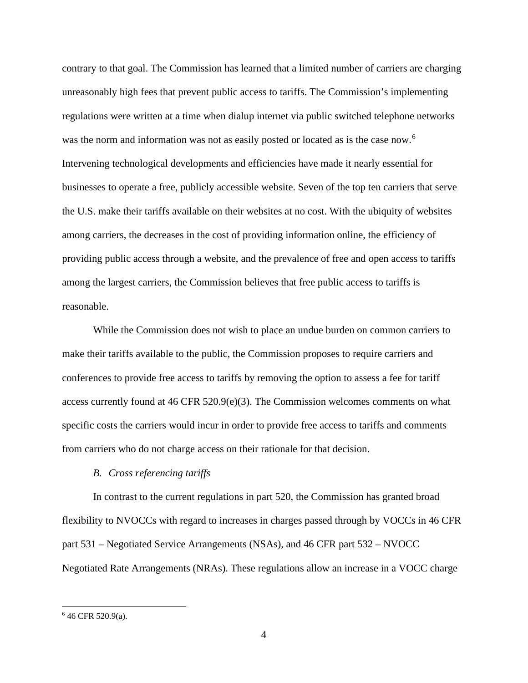contrary to that goal. The Commission has learned that a limited number of carriers are charging unreasonably high fees that prevent public access to tariffs. The Commission's implementing regulations were written at a time when dialup internet via public switched telephone networks was the norm and information was not as easily posted or located as is the case now.<sup>[6](#page-3-0)</sup> Intervening technological developments and efficiencies have made it nearly essential for businesses to operate a free, publicly accessible website. Seven of the top ten carriers that serve the U.S. make their tariffs available on their websites at no cost. With the ubiquity of websites among carriers, the decreases in the cost of providing information online, the efficiency of providing public access through a website, and the prevalence of free and open access to tariffs among the largest carriers, the Commission believes that free public access to tariffs is reasonable.

While the Commission does not wish to place an undue burden on common carriers to make their tariffs available to the public, the Commission proposes to require carriers and conferences to provide free access to tariffs by removing the option to assess a fee for tariff access currently found at 46 CFR 520.9(e)(3). The Commission welcomes comments on what specific costs the carriers would incur in order to provide free access to tariffs and comments from carriers who do not charge access on their rationale for that decision.

### *B. Cross referencing tariffs*

In contrast to the current regulations in part 520, the Commission has granted broad flexibility to NVOCCs with regard to increases in charges passed through by VOCCs in 46 CFR part 531 – Negotiated Service Arrangements (NSAs), and 46 CFR part 532 – NVOCC Negotiated Rate Arrangements (NRAs). These regulations allow an increase in a VOCC charge

<span id="page-3-0"></span><sup>6</sup> 46 CFR 520.9(a).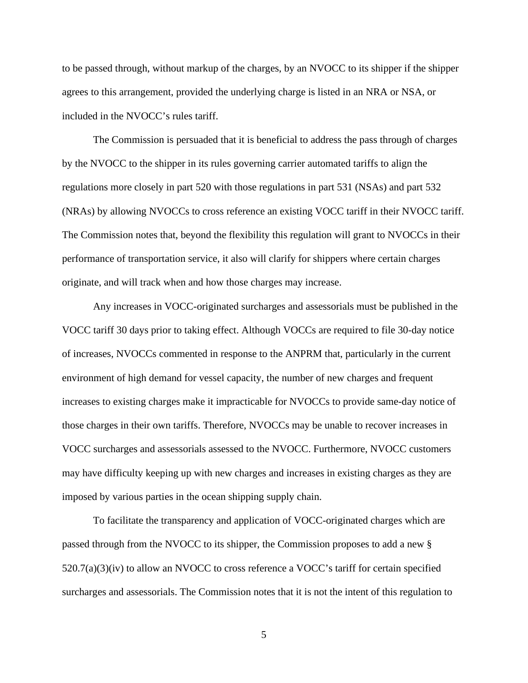to be passed through, without markup of the charges, by an NVOCC to its shipper if the shipper agrees to this arrangement, provided the underlying charge is listed in an NRA or NSA, or included in the NVOCC's rules tariff.

The Commission is persuaded that it is beneficial to address the pass through of charges by the NVOCC to the shipper in its rules governing carrier automated tariffs to align the regulations more closely in part 520 with those regulations in part 531 (NSAs) and part 532 (NRAs) by allowing NVOCCs to cross reference an existing VOCC tariff in their NVOCC tariff. The Commission notes that, beyond the flexibility this regulation will grant to NVOCCs in their performance of transportation service, it also will clarify for shippers where certain charges originate, and will track when and how those charges may increase.

Any increases in VOCC-originated surcharges and assessorials must be published in the VOCC tariff 30 days prior to taking effect. Although VOCCs are required to file 30-day notice of increases, NVOCCs commented in response to the ANPRM that, particularly in the current environment of high demand for vessel capacity, the number of new charges and frequent increases to existing charges make it impracticable for NVOCCs to provide same-day notice of those charges in their own tariffs. Therefore, NVOCCs may be unable to recover increases in VOCC surcharges and assessorials assessed to the NVOCC. Furthermore, NVOCC customers may have difficulty keeping up with new charges and increases in existing charges as they are imposed by various parties in the ocean shipping supply chain.

To facilitate the transparency and application of VOCC-originated charges which are passed through from the NVOCC to its shipper, the Commission proposes to add a new § 520.7(a)(3)(iv) to allow an NVOCC to cross reference a VOCC's tariff for certain specified surcharges and assessorials. The Commission notes that it is not the intent of this regulation to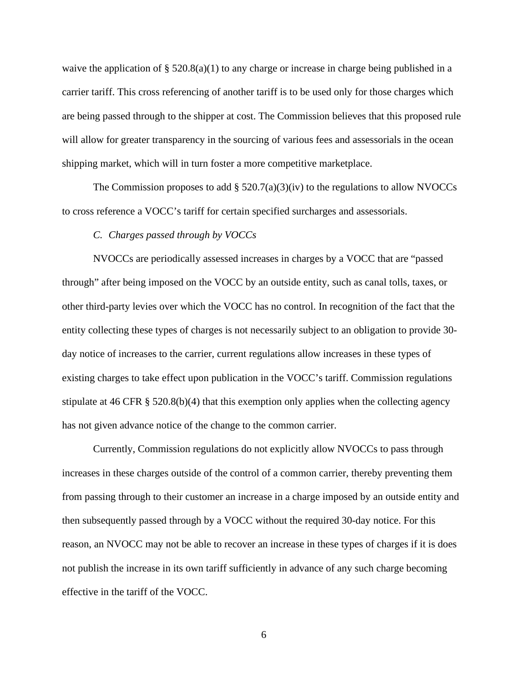waive the application of § 520.8(a)(1) to any charge or increase in charge being published in a carrier tariff. This cross referencing of another tariff is to be used only for those charges which are being passed through to the shipper at cost. The Commission believes that this proposed rule will allow for greater transparency in the sourcing of various fees and assessorials in the ocean shipping market, which will in turn foster a more competitive marketplace.

The Commission proposes to add  $\S$  520.7(a)(3)(iv) to the regulations to allow NVOCCs to cross reference a VOCC's tariff for certain specified surcharges and assessorials.

## *C. Charges passed through by VOCCs*

NVOCCs are periodically assessed increases in charges by a VOCC that are "passed through" after being imposed on the VOCC by an outside entity, such as canal tolls, taxes, or other third-party levies over which the VOCC has no control. In recognition of the fact that the entity collecting these types of charges is not necessarily subject to an obligation to provide 30 day notice of increases to the carrier, current regulations allow increases in these types of existing charges to take effect upon publication in the VOCC's tariff. Commission regulations stipulate at 46 CFR  $\S$  520.8(b)(4) that this exemption only applies when the collecting agency has not given advance notice of the change to the common carrier.

Currently, Commission regulations do not explicitly allow NVOCCs to pass through increases in these charges outside of the control of a common carrier, thereby preventing them from passing through to their customer an increase in a charge imposed by an outside entity and then subsequently passed through by a VOCC without the required 30-day notice. For this reason, an NVOCC may not be able to recover an increase in these types of charges if it is does not publish the increase in its own tariff sufficiently in advance of any such charge becoming effective in the tariff of the VOCC.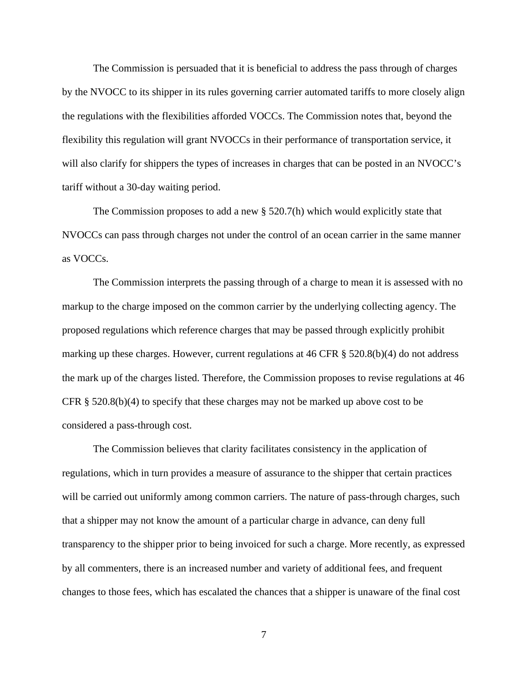The Commission is persuaded that it is beneficial to address the pass through of charges by the NVOCC to its shipper in its rules governing carrier automated tariffs to more closely align the regulations with the flexibilities afforded VOCCs. The Commission notes that, beyond the flexibility this regulation will grant NVOCCs in their performance of transportation service, it will also clarify for shippers the types of increases in charges that can be posted in an NVOCC's tariff without a 30-day waiting period.

The Commission proposes to add a new  $\S$  520.7(h) which would explicitly state that NVOCCs can pass through charges not under the control of an ocean carrier in the same manner as VOCCs.

The Commission interprets the passing through of a charge to mean it is assessed with no markup to the charge imposed on the common carrier by the underlying collecting agency. The proposed regulations which reference charges that may be passed through explicitly prohibit marking up these charges. However, current regulations at 46 CFR § 520.8(b)(4) do not address the mark up of the charges listed. Therefore, the Commission proposes to revise regulations at 46 CFR § 520.8(b)(4) to specify that these charges may not be marked up above cost to be considered a pass-through cost.

The Commission believes that clarity facilitates consistency in the application of regulations, which in turn provides a measure of assurance to the shipper that certain practices will be carried out uniformly among common carriers. The nature of pass-through charges, such that a shipper may not know the amount of a particular charge in advance, can deny full transparency to the shipper prior to being invoiced for such a charge. More recently, as expressed by all commenters, there is an increased number and variety of additional fees, and frequent changes to those fees, which has escalated the chances that a shipper is unaware of the final cost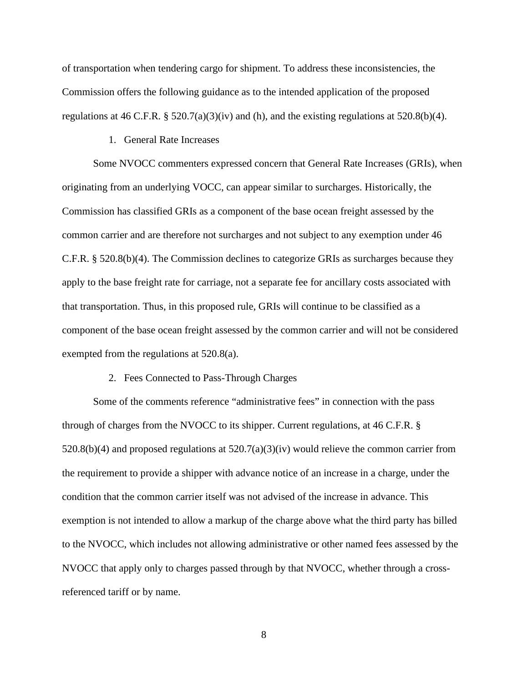of transportation when tendering cargo for shipment. To address these inconsistencies, the Commission offers the following guidance as to the intended application of the proposed regulations at 46 C.F.R. §  $520.7(a)(3)(iv)$  and (h), and the existing regulations at  $520.8(b)(4)$ .

## 1. General Rate Increases

Some NVOCC commenters expressed concern that General Rate Increases (GRIs), when originating from an underlying VOCC, can appear similar to surcharges. Historically, the Commission has classified GRIs as a component of the base ocean freight assessed by the common carrier and are therefore not surcharges and not subject to any exemption under 46 C.F.R. § 520.8(b)(4). The Commission declines to categorize GRIs as surcharges because they apply to the base freight rate for carriage, not a separate fee for ancillary costs associated with that transportation. Thus, in this proposed rule, GRIs will continue to be classified as a component of the base ocean freight assessed by the common carrier and will not be considered exempted from the regulations at 520.8(a).

#### 2. Fees Connected to Pass-Through Charges

Some of the comments reference "administrative fees" in connection with the pass through of charges from the NVOCC to its shipper. Current regulations, at 46 C.F.R. §  $520.8(b)(4)$  and proposed regulations at  $520.7(a)(3)(iv)$  would relieve the common carrier from the requirement to provide a shipper with advance notice of an increase in a charge, under the condition that the common carrier itself was not advised of the increase in advance. This exemption is not intended to allow a markup of the charge above what the third party has billed to the NVOCC, which includes not allowing administrative or other named fees assessed by the NVOCC that apply only to charges passed through by that NVOCC, whether through a crossreferenced tariff or by name.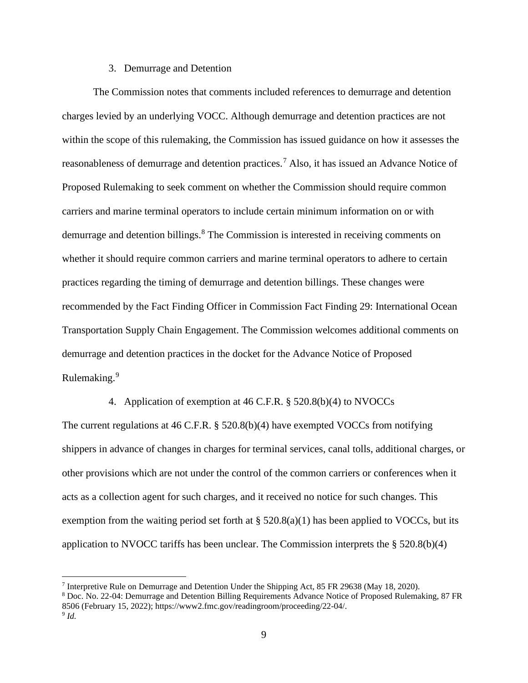## 3. Demurrage and Detention

The Commission notes that comments included references to demurrage and detention charges levied by an underlying VOCC. Although demurrage and detention practices are not within the scope of this rulemaking, the Commission has issued guidance on how it assesses the reasonableness of demurrage and detention practices.[7](#page-8-0) Also, it has issued an Advance Notice of Proposed Rulemaking to seek comment on whether the Commission should require common carriers and marine terminal operators to include certain minimum information on or with demurrage and detention billings.<sup>[8](#page-8-1)</sup> The Commission is interested in receiving comments on whether it should require common carriers and marine terminal operators to adhere to certain practices regarding the timing of demurrage and detention billings. These changes were recommended by the Fact Finding Officer in Commission Fact Finding 29: International Ocean Transportation Supply Chain Engagement. The Commission welcomes additional comments on demurrage and detention practices in the docket for the Advance Notice of Proposed Rulemaking.<sup>[9](#page-8-2)</sup>

## 4. Application of exemption at 46 C.F.R. § 520.8(b)(4) to NVOCCs

The current regulations at 46 C.F.R. § 520.8(b)(4) have exempted VOCCs from notifying shippers in advance of changes in charges for terminal services, canal tolls, additional charges, or other provisions which are not under the control of the common carriers or conferences when it acts as a collection agent for such charges, and it received no notice for such changes. This exemption from the waiting period set forth at  $\S$  520.8(a)(1) has been applied to VOCCs, but its application to NVOCC tariffs has been unclear. The Commission interprets the § 520.8(b)(4)

<span id="page-8-0"></span><sup>7</sup> Interpretive Rule on Demurrage and Detention Under the Shipping Act, 85 FR 29638 (May 18, 2020).

<span id="page-8-2"></span><span id="page-8-1"></span><sup>8</sup> Doc. No. 22-04: Demurrage and Detention Billing Requirements Advance Notice of Proposed Rulemaking, 87 FR 8506 (February 15, 2022); https://www2.fmc.gov/readingroom/proceeding/22-04/.  $9$  *Id.*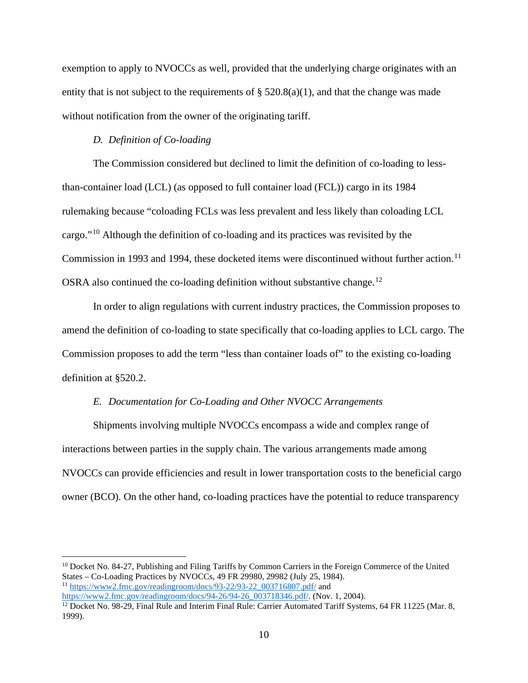exemption to apply to NVOCCs as well, provided that the underlying charge originates with an entity that is not subject to the requirements of  $\S$  520.8(a)(1), and that the change was made without notification from the owner of the originating tariff.

## *D. Definition of Co-loading*

The Commission considered but declined to limit the definition of co-loading to lessthan-container load (LCL) (as opposed to full container load (FCL)) cargo in its 1984 rulemaking because "coloading FCLs was less prevalent and less likely than coloading LCL cargo."[10](#page-9-0) Although the definition of co-loading and its practices was revisited by the Commission in 1993 and 1994, these docketed items were discontinued without further action.<sup>[11](#page-9-1)</sup> OSRA also continued the co-loading definition without substantive change.<sup>[12](#page-9-2)</sup>

In order to align regulations with current industry practices, the Commission proposes to amend the definition of co-loading to state specifically that co-loading applies to LCL cargo. The Commission proposes to add the term "less than container loads of" to the existing co-loading definition at §520.2.

## *E. Documentation for Co-Loading and Other NVOCC Arrangements*

Shipments involving multiple NVOCCs encompass a wide and complex range of interactions between parties in the supply chain. The various arrangements made among NVOCCs can provide efficiencies and result in lower transportation costs to the beneficial cargo owner (BCO). On the other hand, co-loading practices have the potential to reduce transparency

<span id="page-9-1"></span><span id="page-9-0"></span><sup>10</sup> Docket No. 84-27, Publishing and Filing Tariffs by Common Carriers in the Foreign Commerce of the United States – Co-Loading Practices by NVOCCs, 49 FR 29980, 29982 (July 25, 1984).  $11 \text{ https://www2.fmc.gov/readingroom/docs/93-22/93-22}$  003716807.pdf/ and [https://www2.fmc.gov/readingroom/docs/94-26/94-26\\_003718346.pdf/.](https://www2.fmc.gov/readingroom/docs/94-26/94-26_003718346.pdf/) (Nov. 1, 2004).

<span id="page-9-2"></span><sup>&</sup>lt;sup>12</sup> Docket No. 98-29, Final Rule and Interim Final Rule: Carrier Automated Tariff Systems, 64 FR 11225 (Mar. 8, 1999).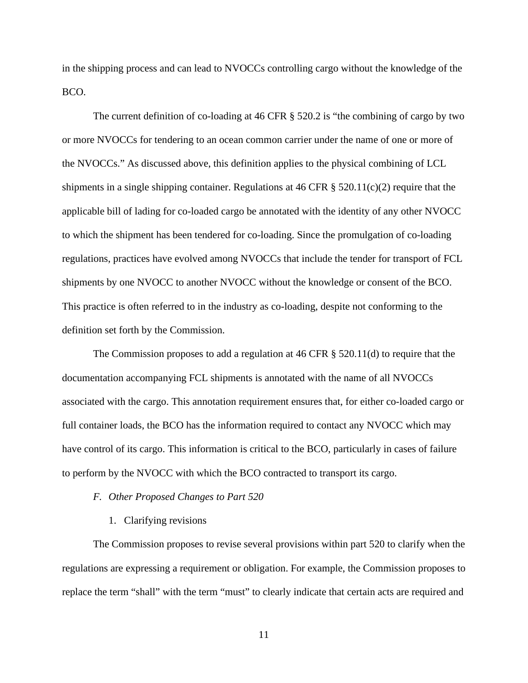in the shipping process and can lead to NVOCCs controlling cargo without the knowledge of the BCO.

The current definition of co-loading at 46 CFR § 520.2 is "the combining of cargo by two or more NVOCCs for tendering to an ocean common carrier under the name of one or more of the NVOCCs." As discussed above, this definition applies to the physical combining of LCL shipments in a single shipping container. Regulations at 46 CFR § 520.11(c)(2) require that the applicable bill of lading for co-loaded cargo be annotated with the identity of any other NVOCC to which the shipment has been tendered for co-loading. Since the promulgation of co-loading regulations, practices have evolved among NVOCCs that include the tender for transport of FCL shipments by one NVOCC to another NVOCC without the knowledge or consent of the BCO. This practice is often referred to in the industry as co-loading, despite not conforming to the definition set forth by the Commission.

The Commission proposes to add a regulation at 46 CFR § 520.11(d) to require that the documentation accompanying FCL shipments is annotated with the name of all NVOCCs associated with the cargo. This annotation requirement ensures that, for either co-loaded cargo or full container loads, the BCO has the information required to contact any NVOCC which may have control of its cargo. This information is critical to the BCO, particularly in cases of failure to perform by the NVOCC with which the BCO contracted to transport its cargo.

## *F. Other Proposed Changes to Part 520*

#### 1. Clarifying revisions

The Commission proposes to revise several provisions within part 520 to clarify when the regulations are expressing a requirement or obligation. For example, the Commission proposes to replace the term "shall" with the term "must" to clearly indicate that certain acts are required and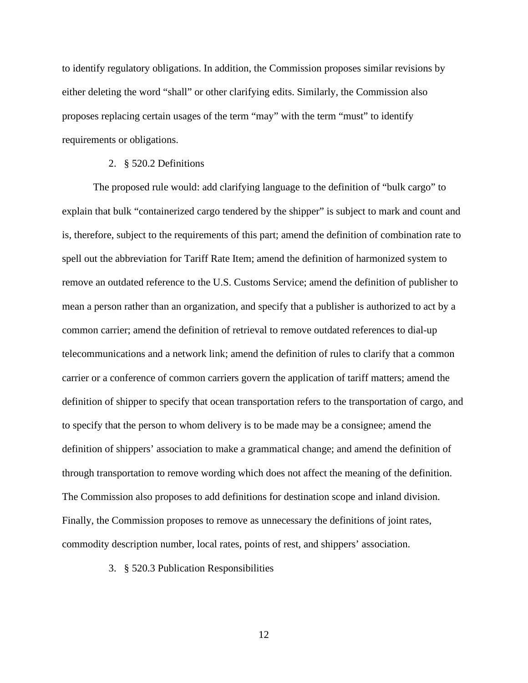to identify regulatory obligations. In addition, the Commission proposes similar revisions by either deleting the word "shall" or other clarifying edits. Similarly, the Commission also proposes replacing certain usages of the term "may" with the term "must" to identify requirements or obligations.

## 2. § 520.2 Definitions

The proposed rule would: add clarifying language to the definition of "bulk cargo" to explain that bulk "containerized cargo tendered by the shipper" is subject to mark and count and is, therefore, subject to the requirements of this part; amend the definition of combination rate to spell out the abbreviation for Tariff Rate Item; amend the definition of harmonized system to remove an outdated reference to the U.S. Customs Service; amend the definition of publisher to mean a person rather than an organization, and specify that a publisher is authorized to act by a common carrier; amend the definition of retrieval to remove outdated references to dial-up telecommunications and a network link; amend the definition of rules to clarify that a common carrier or a conference of common carriers govern the application of tariff matters; amend the definition of shipper to specify that ocean transportation refers to the transportation of cargo, and to specify that the person to whom delivery is to be made may be a consignee; amend the definition of shippers' association to make a grammatical change; and amend the definition of through transportation to remove wording which does not affect the meaning of the definition. The Commission also proposes to add definitions for destination scope and inland division. Finally, the Commission proposes to remove as unnecessary the definitions of joint rates, commodity description number, local rates, points of rest, and shippers' association.

3. § 520.3 Publication Responsibilities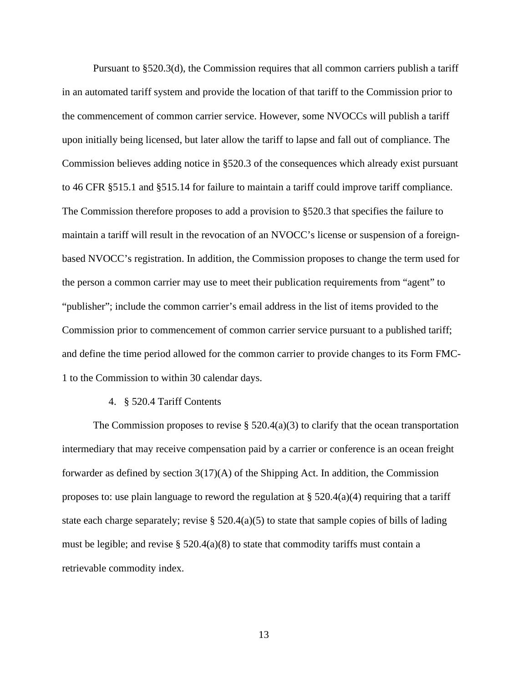Pursuant to §520.3(d), the Commission requires that all common carriers publish a tariff in an automated tariff system and provide the location of that tariff to the Commission prior to the commencement of common carrier service. However, some NVOCCs will publish a tariff upon initially being licensed, but later allow the tariff to lapse and fall out of compliance. The Commission believes adding notice in §520.3 of the consequences which already exist pursuant to 46 CFR §515.1 and §515.14 for failure to maintain a tariff could improve tariff compliance. The Commission therefore proposes to add a provision to §520.3 that specifies the failure to maintain a tariff will result in the revocation of an NVOCC's license or suspension of a foreignbased NVOCC's registration. In addition, the Commission proposes to change the term used for the person a common carrier may use to meet their publication requirements from "agent" to "publisher"; include the common carrier's email address in the list of items provided to the Commission prior to commencement of common carrier service pursuant to a published tariff; and define the time period allowed for the common carrier to provide changes to its Form FMC-1 to the Commission to within 30 calendar days.

## 4. § 520.4 Tariff Contents

The Commission proposes to revise  $\S$  520.4(a)(3) to clarify that the ocean transportation intermediary that may receive compensation paid by a carrier or conference is an ocean freight forwarder as defined by section 3(17)(A) of the Shipping Act. In addition, the Commission proposes to: use plain language to reword the regulation at  $\S$  520.4(a)(4) requiring that a tariff state each charge separately; revise § 520.4(a)(5) to state that sample copies of bills of lading must be legible; and revise  $\S$  520.4(a)(8) to state that commodity tariffs must contain a retrievable commodity index.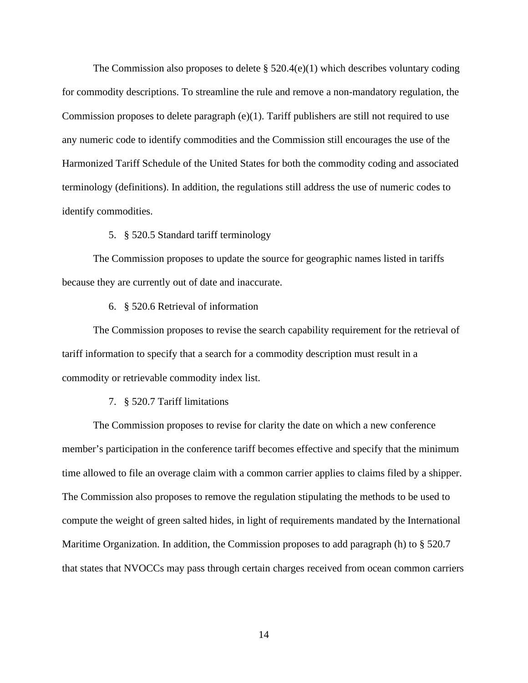The Commission also proposes to delete  $\S 520.4(e)(1)$  which describes voluntary coding for commodity descriptions. To streamline the rule and remove a non-mandatory regulation, the Commission proposes to delete paragraph (e)(1). Tariff publishers are still not required to use any numeric code to identify commodities and the Commission still encourages the use of the Harmonized Tariff Schedule of the United States for both the commodity coding and associated terminology (definitions). In addition, the regulations still address the use of numeric codes to identify commodities.

# 5. § 520.5 Standard tariff terminology

The Commission proposes to update the source for geographic names listed in tariffs because they are currently out of date and inaccurate.

### 6. § 520.6 Retrieval of information

The Commission proposes to revise the search capability requirement for the retrieval of tariff information to specify that a search for a commodity description must result in a commodity or retrievable commodity index list.

#### 7. § 520.7 Tariff limitations

The Commission proposes to revise for clarity the date on which a new conference member's participation in the conference tariff becomes effective and specify that the minimum time allowed to file an overage claim with a common carrier applies to claims filed by a shipper. The Commission also proposes to remove the regulation stipulating the methods to be used to compute the weight of green salted hides, in light of requirements mandated by the International Maritime Organization. In addition, the Commission proposes to add paragraph (h) to § 520.7 that states that NVOCCs may pass through certain charges received from ocean common carriers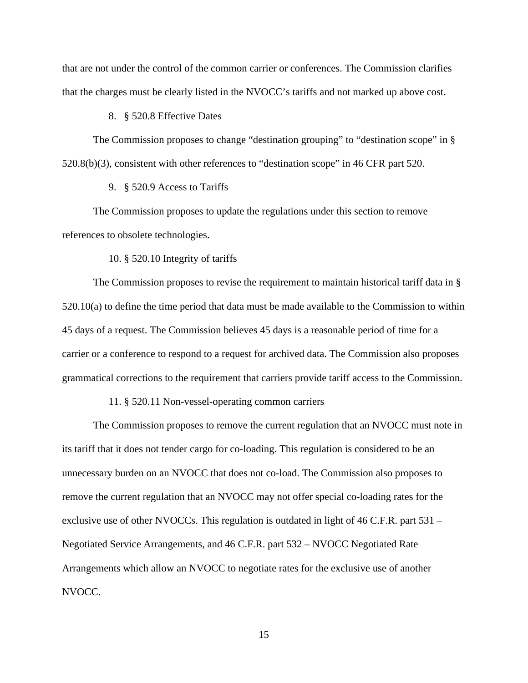that are not under the control of the common carrier or conferences. The Commission clarifies that the charges must be clearly listed in the NVOCC's tariffs and not marked up above cost.

## 8. § 520.8 Effective Dates

The Commission proposes to change "destination grouping" to "destination scope" in § 520.8(b)(3), consistent with other references to "destination scope" in 46 CFR part 520.

## 9. § 520.9 Access to Tariffs

The Commission proposes to update the regulations under this section to remove references to obsolete technologies.

#### 10. § 520.10 Integrity of tariffs

The Commission proposes to revise the requirement to maintain historical tariff data in § 520.10(a) to define the time period that data must be made available to the Commission to within 45 days of a request. The Commission believes 45 days is a reasonable period of time for a carrier or a conference to respond to a request for archived data. The Commission also proposes grammatical corrections to the requirement that carriers provide tariff access to the Commission.

## 11. § 520.11 Non-vessel-operating common carriers

The Commission proposes to remove the current regulation that an NVOCC must note in its tariff that it does not tender cargo for co-loading. This regulation is considered to be an unnecessary burden on an NVOCC that does not co-load. The Commission also proposes to remove the current regulation that an NVOCC may not offer special co-loading rates for the exclusive use of other NVOCCs. This regulation is outdated in light of 46 C.F.R. part 531 – Negotiated Service Arrangements, and 46 C.F.R. part 532 – NVOCC Negotiated Rate Arrangements which allow an NVOCC to negotiate rates for the exclusive use of another NVOCC.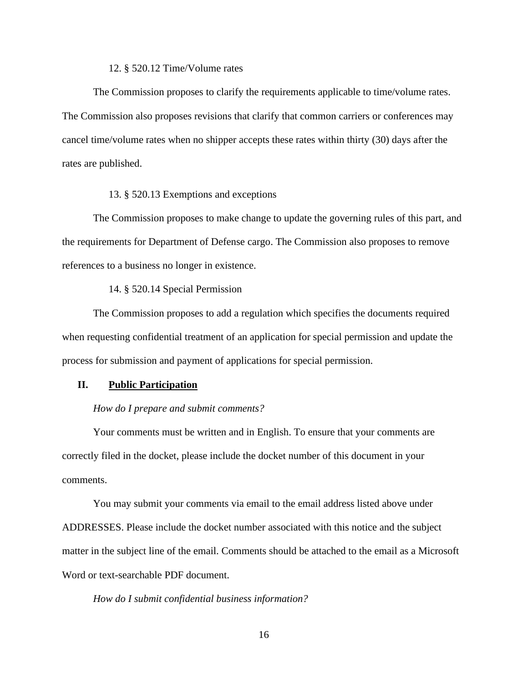## 12. § 520.12 Time/Volume rates

The Commission proposes to clarify the requirements applicable to time/volume rates. The Commission also proposes revisions that clarify that common carriers or conferences may cancel time/volume rates when no shipper accepts these rates within thirty (30) days after the rates are published.

## 13. § 520.13 Exemptions and exceptions

The Commission proposes to make change to update the governing rules of this part, and the requirements for Department of Defense cargo. The Commission also proposes to remove references to a business no longer in existence.

14. § 520.14 Special Permission

The Commission proposes to add a regulation which specifies the documents required when requesting confidential treatment of an application for special permission and update the process for submission and payment of applications for special permission.

## **II. Public Participation**

#### *How do I prepare and submit comments?*

Your comments must be written and in English. To ensure that your comments are correctly filed in the docket, please include the docket number of this document in your comments.

You may submit your comments via email to the email address listed above under ADDRESSES. Please include the docket number associated with this notice and the subject matter in the subject line of the email. Comments should be attached to the email as a Microsoft Word or text-searchable PDF document.

## *How do I submit confidential business information?*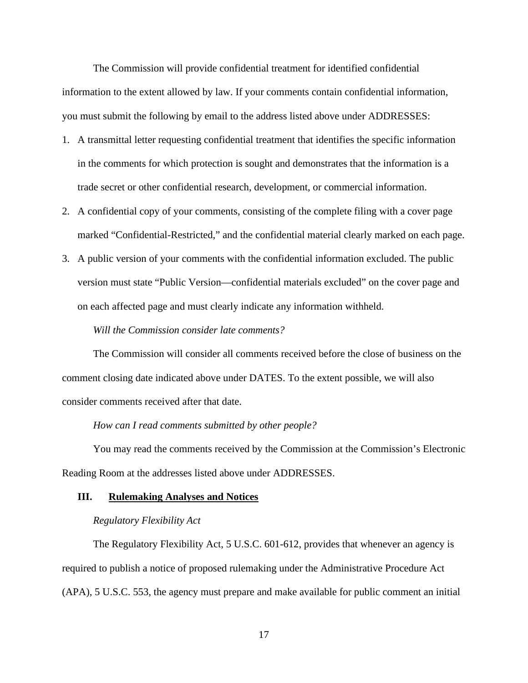The Commission will provide confidential treatment for identified confidential information to the extent allowed by law. If your comments contain confidential information, you must submit the following by email to the address listed above under ADDRESSES:

- 1. A transmittal letter requesting confidential treatment that identifies the specific information in the comments for which protection is sought and demonstrates that the information is a trade secret or other confidential research, development, or commercial information.
- 2. A confidential copy of your comments, consisting of the complete filing with a cover page marked "Confidential-Restricted," and the confidential material clearly marked on each page.
- 3. A public version of your comments with the confidential information excluded. The public version must state "Public Version—confidential materials excluded" on the cover page and on each affected page and must clearly indicate any information withheld.

### *Will the Commission consider late comments?*

The Commission will consider all comments received before the close of business on the comment closing date indicated above under DATES. To the extent possible, we will also consider comments received after that date.

#### *How can I read comments submitted by other people?*

You may read the comments received by the Commission at the Commission's Electronic Reading Room at the addresses listed above under ADDRESSES.

## **III. Rulemaking Analyses and Notices**

#### *Regulatory Flexibility Act*

The Regulatory Flexibility Act, 5 U.S.C. 601-612, provides that whenever an agency is required to publish a notice of proposed rulemaking under the Administrative Procedure Act (APA), 5 U.S.C. 553, the agency must prepare and make available for public comment an initial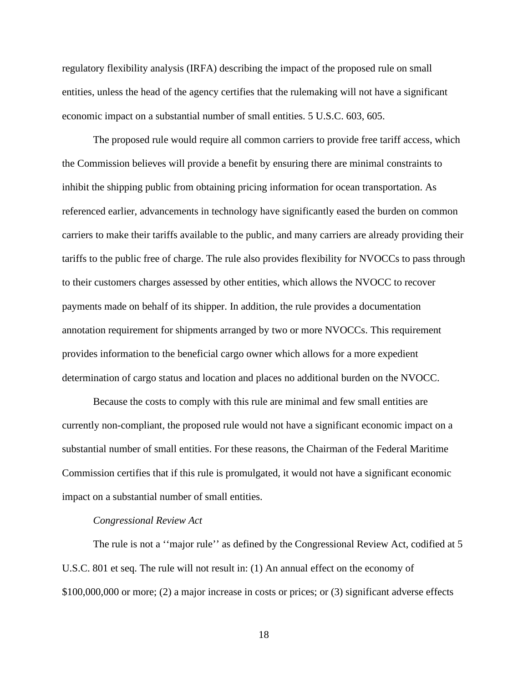regulatory flexibility analysis (IRFA) describing the impact of the proposed rule on small entities, unless the head of the agency certifies that the rulemaking will not have a significant economic impact on a substantial number of small entities. 5 U.S.C. 603, 605.

The proposed rule would require all common carriers to provide free tariff access, which the Commission believes will provide a benefit by ensuring there are minimal constraints to inhibit the shipping public from obtaining pricing information for ocean transportation. As referenced earlier, advancements in technology have significantly eased the burden on common carriers to make their tariffs available to the public, and many carriers are already providing their tariffs to the public free of charge. The rule also provides flexibility for NVOCCs to pass through to their customers charges assessed by other entities, which allows the NVOCC to recover payments made on behalf of its shipper. In addition, the rule provides a documentation annotation requirement for shipments arranged by two or more NVOCCs. This requirement provides information to the beneficial cargo owner which allows for a more expedient determination of cargo status and location and places no additional burden on the NVOCC.

Because the costs to comply with this rule are minimal and few small entities are currently non-compliant, the proposed rule would not have a significant economic impact on a substantial number of small entities. For these reasons, the Chairman of the Federal Maritime Commission certifies that if this rule is promulgated, it would not have a significant economic impact on a substantial number of small entities.

#### *Congressional Review Act*

The rule is not a ''major rule'' as defined by the Congressional Review Act, codified at 5 U.S.C. 801 et seq. The rule will not result in: (1) An annual effect on the economy of \$100,000,000 or more; (2) a major increase in costs or prices; or (3) significant adverse effects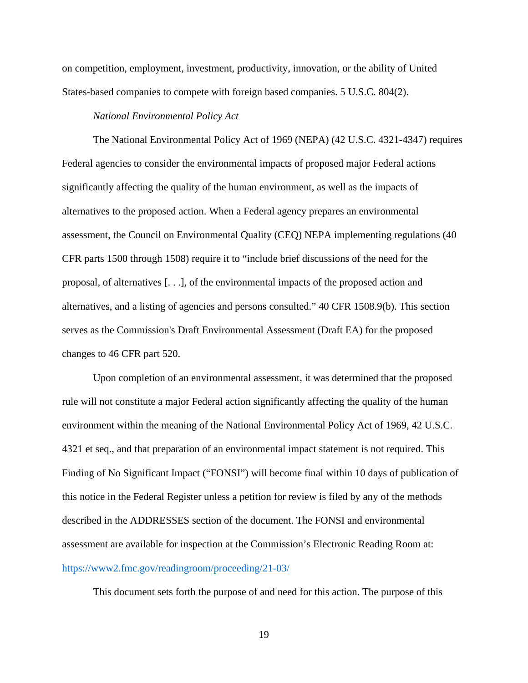on competition, employment, investment, productivity, innovation, or the ability of United States-based companies to compete with foreign based companies. 5 U.S.C. 804(2).

# *National Environmental Policy Act*

The National Environmental Policy Act of 1969 (NEPA) (42 U.S.C. 4321-4347) requires Federal agencies to consider the environmental impacts of proposed major Federal actions significantly affecting the quality of the human environment, as well as the impacts of alternatives to the proposed action. When a Federal agency prepares an environmental assessment, the Council on Environmental Quality (CEQ) NEPA implementing regulations (40 CFR parts 1500 through 1508) require it to "include brief discussions of the need for the proposal, of alternatives [. . .], of the environmental impacts of the proposed action and alternatives, and a listing of agencies and persons consulted." 40 CFR 1508.9(b). This section serves as the Commission's Draft Environmental Assessment (Draft EA) for the proposed changes to 46 CFR part 520.

Upon completion of an environmental assessment, it was determined that the proposed rule will not constitute a major Federal action significantly affecting the quality of the human environment within the meaning of the National Environmental Policy Act of 1969, 42 U.S.C. 4321 et seq., and that preparation of an environmental impact statement is not required. This Finding of No Significant Impact ("FONSI") will become final within 10 days of publication of this notice in the Federal Register unless a petition for review is filed by any of the methods described in the ADDRESSES section of the document. The FONSI and environmental assessment are available for inspection at the Commission's Electronic Reading Room at: <https://www2.fmc.gov/readingroom/proceeding/21-03/>

This document sets forth the purpose of and need for this action. The purpose of this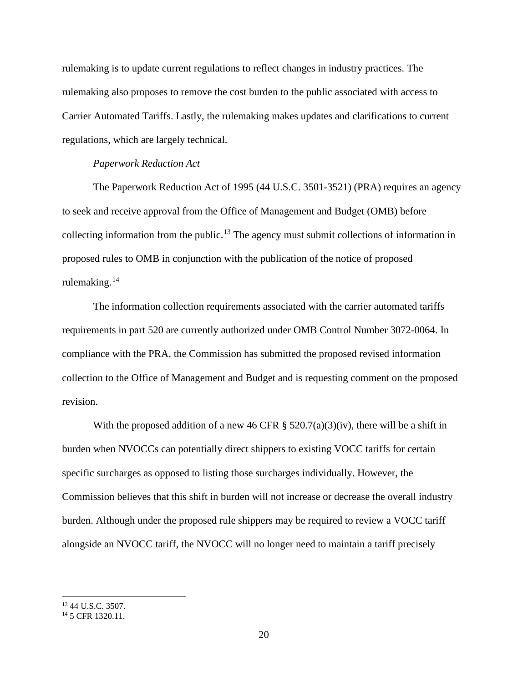rulemaking is to update current regulations to reflect changes in industry practices. The rulemaking also proposes to remove the cost burden to the public associated with access to Carrier Automated Tariffs. Lastly, the rulemaking makes updates and clarifications to current regulations, which are largely technical.

## *Paperwork Reduction Act*

The Paperwork Reduction Act of 1995 (44 U.S.C. 3501-3521) (PRA) requires an agency to seek and receive approval from the Office of Management and Budget (OMB) before collecting information from the public.<sup>[13](#page-19-0)</sup> The agency must submit collections of information in proposed rules to OMB in conjunction with the publication of the notice of proposed rulemaking.[14](#page-19-1)

The information collection requirements associated with the carrier automated tariffs requirements in part 520 are currently authorized under OMB Control Number 3072-0064. In compliance with the PRA, the Commission has submitted the proposed revised information collection to the Office of Management and Budget and is requesting comment on the proposed revision.

With the proposed addition of a new 46 CFR  $\S$  520.7(a)(3)(iv), there will be a shift in burden when NVOCCs can potentially direct shippers to existing VOCC tariffs for certain specific surcharges as opposed to listing those surcharges individually. However, the Commission believes that this shift in burden will not increase or decrease the overall industry burden. Although under the proposed rule shippers may be required to review a VOCC tariff alongside an NVOCC tariff, the NVOCC will no longer need to maintain a tariff precisely

<span id="page-19-0"></span><sup>13</sup> 44 U.S.C. 3507.

<span id="page-19-1"></span><sup>14</sup> 5 CFR 1320.11.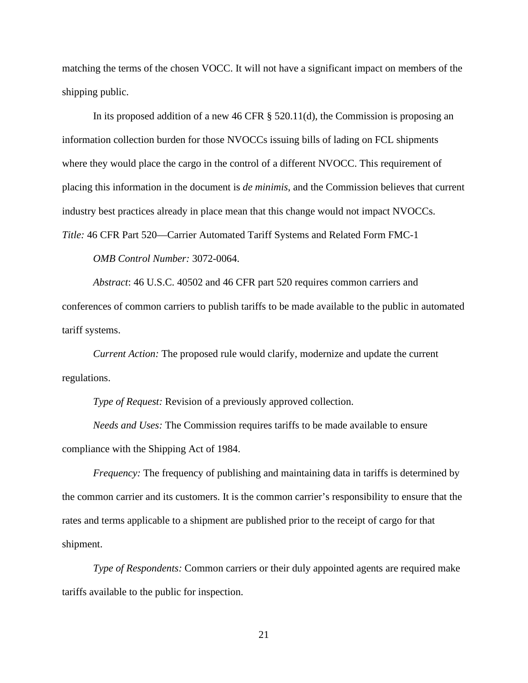matching the terms of the chosen VOCC. It will not have a significant impact on members of the shipping public.

In its proposed addition of a new 46 CFR § 520.11(d), the Commission is proposing an information collection burden for those NVOCCs issuing bills of lading on FCL shipments where they would place the cargo in the control of a different NVOCC. This requirement of placing this information in the document is *de minimis*, and the Commission believes that current industry best practices already in place mean that this change would not impact NVOCCs. *Title:* 46 CFR Part 520—Carrier Automated Tariff Systems and Related Form FMC-1

*OMB Control Number:* 3072-0064.

*Abstract*: 46 U.S.C. 40502 and 46 CFR part 520 requires common carriers and conferences of common carriers to publish tariffs to be made available to the public in automated tariff systems.

*Current Action:* The proposed rule would clarify, modernize and update the current regulations.

*Type of Request:* Revision of a previously approved collection.

*Needs and Uses:* The Commission requires tariffs to be made available to ensure compliance with the Shipping Act of 1984.

*Frequency:* The frequency of publishing and maintaining data in tariffs is determined by the common carrier and its customers. It is the common carrier's responsibility to ensure that the rates and terms applicable to a shipment are published prior to the receipt of cargo for that shipment.

*Type of Respondents:* Common carriers or their duly appointed agents are required make tariffs available to the public for inspection.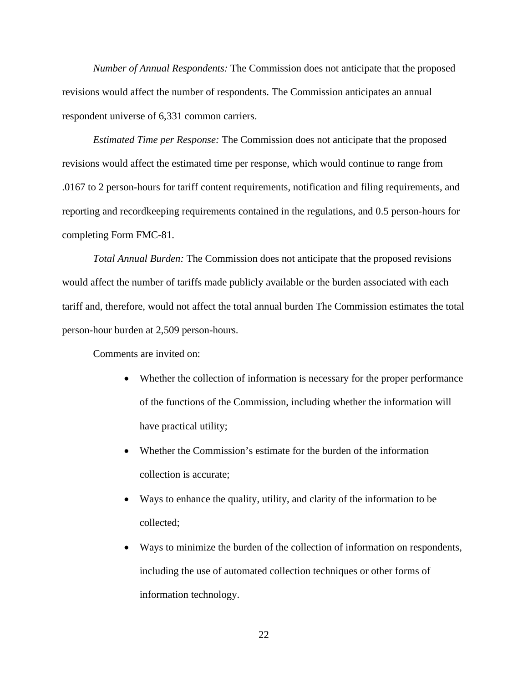*Number of Annual Respondents:* The Commission does not anticipate that the proposed revisions would affect the number of respondents. The Commission anticipates an annual respondent universe of 6,331 common carriers.

*Estimated Time per Response:* The Commission does not anticipate that the proposed revisions would affect the estimated time per response, which would continue to range from .0167 to 2 person-hours for tariff content requirements, notification and filing requirements, and reporting and recordkeeping requirements contained in the regulations, and 0.5 person-hours for completing Form FMC-81.

*Total Annual Burden:* The Commission does not anticipate that the proposed revisions would affect the number of tariffs made publicly available or the burden associated with each tariff and, therefore, would not affect the total annual burden The Commission estimates the total person-hour burden at 2,509 person-hours.

Comments are invited on:

- Whether the collection of information is necessary for the proper performance of the functions of the Commission, including whether the information will have practical utility;
- Whether the Commission's estimate for the burden of the information collection is accurate;
- Ways to enhance the quality, utility, and clarity of the information to be collected;
- Ways to minimize the burden of the collection of information on respondents, including the use of automated collection techniques or other forms of information technology.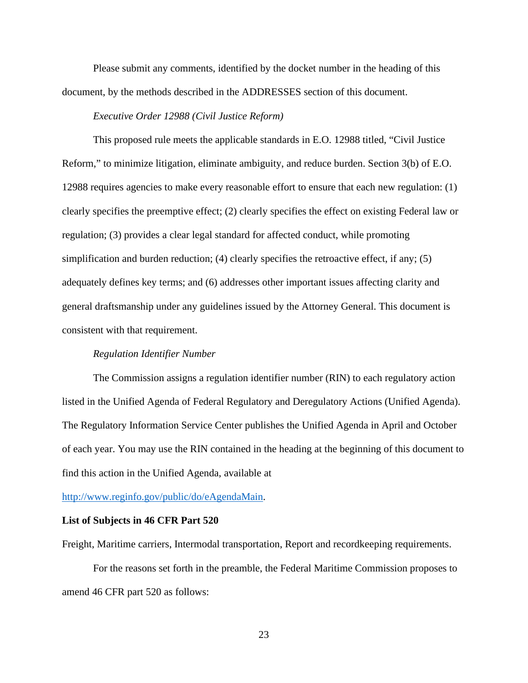Please submit any comments, identified by the docket number in the heading of this document, by the methods described in the ADDRESSES section of this document.

## *Executive Order 12988 (Civil Justice Reform)*

This proposed rule meets the applicable standards in E.O. 12988 titled, "Civil Justice Reform," to minimize litigation, eliminate ambiguity, and reduce burden. Section 3(b) of E.O. 12988 requires agencies to make every reasonable effort to ensure that each new regulation: (1) clearly specifies the preemptive effect; (2) clearly specifies the effect on existing Federal law or regulation; (3) provides a clear legal standard for affected conduct, while promoting simplification and burden reduction; (4) clearly specifies the retroactive effect, if any; (5) adequately defines key terms; and (6) addresses other important issues affecting clarity and general draftsmanship under any guidelines issued by the Attorney General. This document is consistent with that requirement.

## *Regulation Identifier Number*

The Commission assigns a regulation identifier number (RIN) to each regulatory action listed in the Unified Agenda of Federal Regulatory and Deregulatory Actions (Unified Agenda). The Regulatory Information Service Center publishes the Unified Agenda in April and October of each year. You may use the RIN contained in the heading at the beginning of this document to find this action in the Unified Agenda, available at

[http://www.reginfo.gov/public/do/eAgendaMain.](http://www.reginfo.gov/public/do/eAgendaMain)

#### **List of Subjects in 46 CFR Part 520**

Freight, Maritime carriers, Intermodal transportation, Report and recordkeeping requirements.

For the reasons set forth in the preamble, the Federal Maritime Commission proposes to amend 46 CFR part 520 as follows: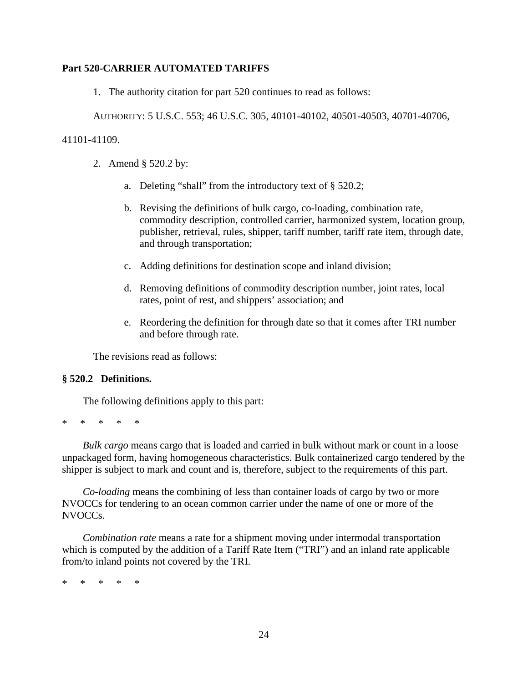# **Part 520-CARRIER AUTOMATED TARIFFS**

1. The authority citation for part 520 continues to read as follows:

AUTHORITY: 5 U.S.C. 553; 46 U.S.C. 305, 40101-40102, 40501-40503, 40701-40706,

## 41101-41109.

- 2. Amend § 520.2 by:
	- a. Deleting "shall" from the introductory text of § 520.2;
	- b. Revising the definitions of bulk cargo, co-loading, combination rate, commodity description, controlled carrier, harmonized system, location group, publisher, retrieval, rules, shipper, tariff number, tariff rate item, through date, and through transportation;
	- c. Adding definitions for destination scope and inland division;
	- d. Removing definitions of commodity description number, joint rates, local rates, point of rest, and shippers' association; and
	- e. Reordering the definition for through date so that it comes after TRI number and before through rate.

The revisions read as follows:

## **§ 520.2 Definitions.**

The following definitions apply to this part:

\* \* \* \* \*

*Bulk cargo* means cargo that is loaded and carried in bulk without mark or count in a loose unpackaged form, having homogeneous characteristics. Bulk containerized cargo tendered by the shipper is subject to mark and count and is, therefore, subject to the requirements of this part.

*Co-loading* means the combining of less than container loads of cargo by two or more NVOCCs for tendering to an ocean common carrier under the name of one or more of the NVOCCs.

*Combination rate* means a rate for a shipment moving under intermodal transportation which is computed by the addition of a Tariff Rate Item ("TRI") and an inland rate applicable from/to inland points not covered by the TRI.

\* \* \* \* \*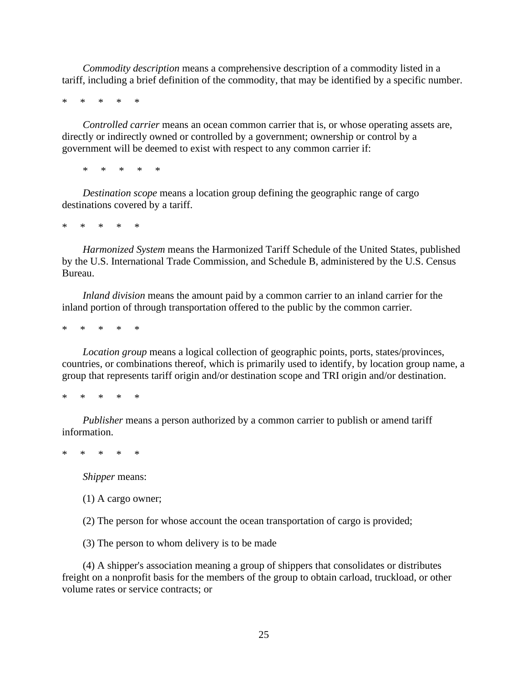*Commodity description* means a comprehensive description of a commodity listed in a tariff, including a brief definition of the commodity, that may be identified by a specific number.

\* \* \* \* \*

*Controlled carrier* means an ocean common carrier that is, or whose operating assets are, directly or indirectly owned or controlled by a government; ownership or control by a government will be deemed to exist with respect to any common carrier if:

\* \* \* \* \*

*Destination scope* means a location group defining the geographic range of cargo destinations covered by a tariff.

\* \* \* \* \*

*Harmonized System* means the Harmonized Tariff Schedule of the United States, published by the U.S. International Trade Commission, and Schedule B, administered by the U.S. Census Bureau.

*Inland division* means the amount paid by a common carrier to an inland carrier for the inland portion of through transportation offered to the public by the common carrier.

\* \* \* \* \*

*Location group* means a logical collection of geographic points, ports, states/provinces, countries, or combinations thereof, which is primarily used to identify, by location group name, a group that represents tariff origin and/or destination scope and TRI origin and/or destination.

\* \* \* \* \*

*Publisher* means a person authorized by a common carrier to publish or amend tariff information.

\* \* \* \* \*

*Shipper* means:

(1) A cargo owner;

(2) The person for whose account the ocean transportation of cargo is provided;

(3) The person to whom delivery is to be made

(4) A shipper's association meaning a group of shippers that consolidates or distributes freight on a nonprofit basis for the members of the group to obtain carload, truckload, or other volume rates or service contracts; or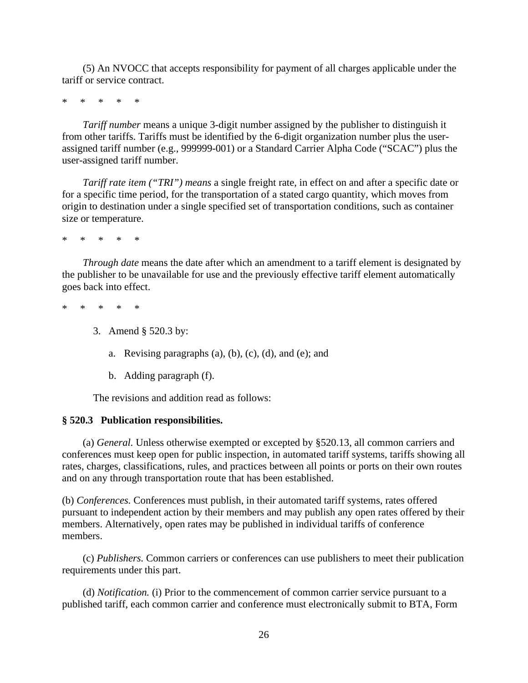(5) An NVOCC that accepts responsibility for payment of all charges applicable under the tariff or service contract.

\* \* \* \* \*

*Tariff number* means a unique 3-digit number assigned by the publisher to distinguish it from other tariffs. Tariffs must be identified by the 6-digit organization number plus the userassigned tariff number (e.g., 999999-001) or a Standard Carrier Alpha Code ("SCAC") plus the user-assigned tariff number.

*Tariff rate item ("TRI") means* a single freight rate, in effect on and after a specific date or for a specific time period, for the transportation of a stated cargo quantity, which moves from origin to destination under a single specified set of transportation conditions, such as container size or temperature.

\* \* \* \* \*

*Through date* means the date after which an amendment to a tariff element is designated by the publisher to be unavailable for use and the previously effective tariff element automatically goes back into effect.

\* \* \* \* \*

- 3. Amend § 520.3 by:
	- a. Revising paragraphs  $(a)$ ,  $(b)$ ,  $(c)$ ,  $(d)$ , and  $(e)$ ; and
	- b. Adding paragraph (f).

The revisions and addition read as follows:

#### **§ 520.3 Publication responsibilities.**

(a) *General.* Unless otherwise exempted or excepted by §520.13, all common carriers and conferences must keep open for public inspection, in automated tariff systems, tariffs showing all rates, charges, classifications, rules, and practices between all points or ports on their own routes and on any through transportation route that has been established.

(b) *Conferences.* Conferences must publish, in their automated tariff systems, rates offered pursuant to independent action by their members and may publish any open rates offered by their members. Alternatively, open rates may be published in individual tariffs of conference members.

(c) *Publishers.* Common carriers or conferences can use publishers to meet their publication requirements under this part.

(d) *Notification.* (i) Prior to the commencement of common carrier service pursuant to a published tariff, each common carrier and conference must electronically submit to BTA, Form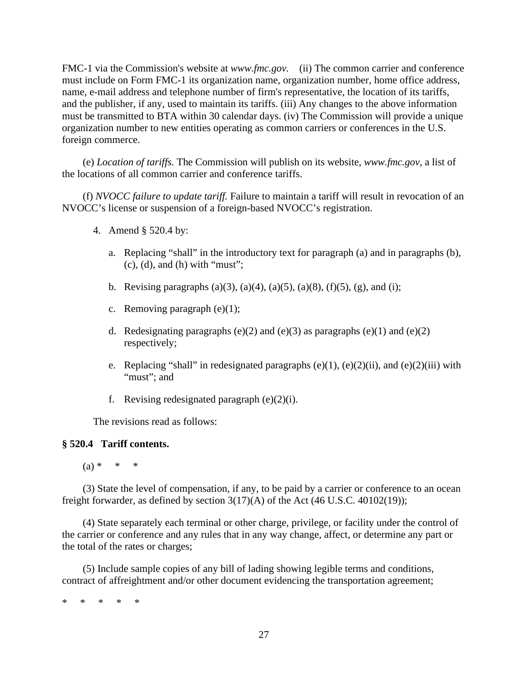FMC-1 via the Commission's website at *www.fmc.gov.* (ii) The common carrier and conference must include on Form FMC-1 its organization name, organization number, home office address, name, e-mail address and telephone number of firm's representative, the location of its tariffs, and the publisher, if any, used to maintain its tariffs. (iii) Any changes to the above information must be transmitted to BTA within 30 calendar days. (iv) The Commission will provide a unique organization number to new entities operating as common carriers or conferences in the U.S. foreign commerce.

(e) *Location of tariffs.* The Commission will publish on its website, *www.fmc.gov,* a list of the locations of all common carrier and conference tariffs.

(f) *NVOCC failure to update tariff.* Failure to maintain a tariff will result in revocation of an NVOCC's license or suspension of a foreign-based NVOCC's registration.

- 4. Amend § 520.4 by:
	- a. Replacing "shall" in the introductory text for paragraph (a) and in paragraphs (b),  $(c)$ ,  $(d)$ , and  $(h)$  with "must";
	- b. Revising paragraphs (a)(3), (a)(4), (a)(5), (a)(8), (f)(5), (g), and (i);
	- c. Removing paragraph  $(e)(1)$ ;
	- d. Redesignating paragraphs (e)(2) and (e)(3) as paragraphs (e)(1) and (e)(2) respectively;
	- e. Replacing "shall" in redesignated paragraphs  $(e)(1)$ ,  $(e)(2)(ii)$ , and  $(e)(2)(iii)$  with "must": and
	- f. Revising redesignated paragraph  $(e)(2)(i)$ .

The revisions read as follows:

## **§ 520.4 Tariff contents.**

 $(a) * * * * *$ 

(3) State the level of compensation, if any, to be paid by a carrier or conference to an ocean freight forwarder, as defined by section  $3(17)(A)$  of the Act (46 U.S.C. 40102(19));

(4) State separately each terminal or other charge, privilege, or facility under the control of the carrier or conference and any rules that in any way change, affect, or determine any part or the total of the rates or charges;

(5) Include sample copies of any bill of lading showing legible terms and conditions, contract of affreightment and/or other document evidencing the transportation agreement;

\* \* \* \* \*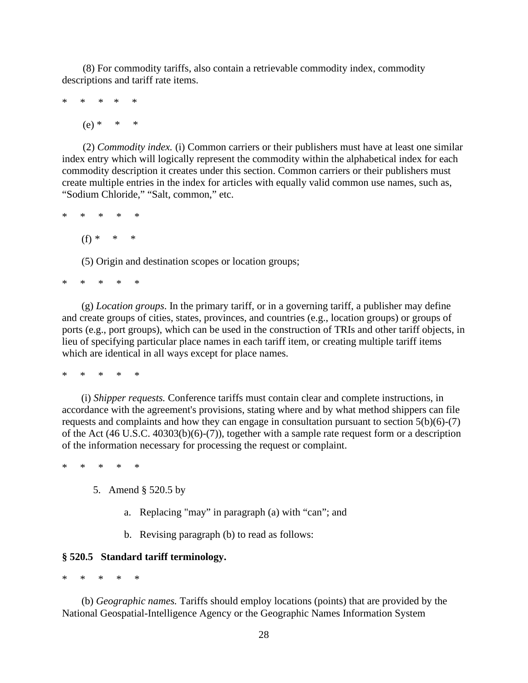(8) For commodity tariffs, also contain a retrievable commodity index, commodity descriptions and tariff rate items.

\* \* \* \* \*  $(e) * * *$ 

(2) *Commodity index.* (i) Common carriers or their publishers must have at least one similar index entry which will logically represent the commodity within the alphabetical index for each commodity description it creates under this section. Common carriers or their publishers must create multiple entries in the index for articles with equally valid common use names, such as, "Sodium Chloride," "Salt, common," etc.

\* \* \* \* \* (f) *\** \* \*

(5) Origin and destination scopes or location groups;

\* \* \* \* \*

(g) *Location groups*. In the primary tariff, or in a governing tariff, a publisher may define and create groups of cities, states, provinces, and countries (e.g., location groups) or groups of ports (e.g., port groups), which can be used in the construction of TRIs and other tariff objects, in lieu of specifying particular place names in each tariff item, or creating multiple tariff items which are identical in all ways except for place names.

\* \* \* \* \*

(i) *Shipper requests.* Conference tariffs must contain clear and complete instructions, in accordance with the agreement's provisions, stating where and by what method shippers can file requests and complaints and how they can engage in consultation pursuant to section  $5(b)(6)-(7)$ of the Act (46 U.S.C. 40303(b)(6)-(7)), together with a sample rate request form or a description of the information necessary for processing the request or complaint.

\* \* \* \* \*

- 5. Amend § 520.5 by
	- a. Replacing "may" in paragraph (a) with "can"; and
	- b. Revising paragraph (b) to read as follows:

## **§ 520.5 Standard tariff terminology.**

\* \* \* \* \*

(b) *Geographic names.* Tariffs should employ locations (points) that are provided by the National Geospatial-Intelligence Agency or the Geographic Names Information System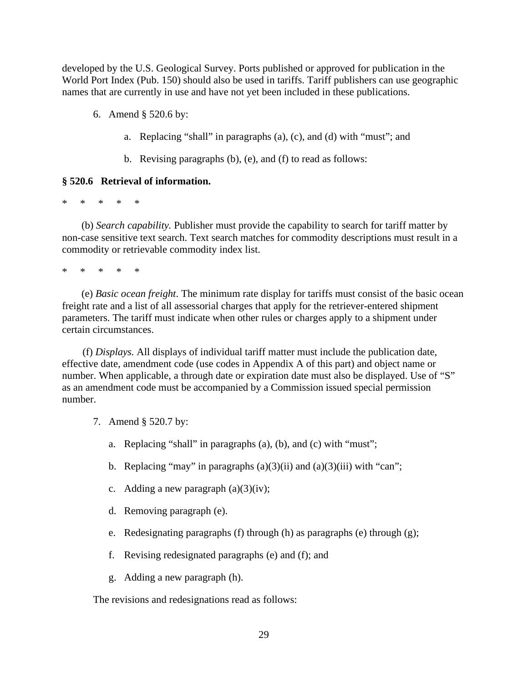developed by the U.S. Geological Survey. Ports published or approved for publication in the World Port Index (Pub. 150) should also be used in tariffs. Tariff publishers can use geographic names that are currently in use and have not yet been included in these publications.

6. Amend § 520.6 by:

- a. Replacing "shall" in paragraphs (a), (c), and (d) with "must"; and
- b. Revising paragraphs (b), (e), and (f) to read as follows:

# **§ 520.6 Retrieval of information.**

\* \* \* \* \*

(b) *Search capability.* Publisher must provide the capability to search for tariff matter by non-case sensitive text search. Text search matches for commodity descriptions must result in a commodity or retrievable commodity index list.

\* \* \* \* \*

(e) *Basic ocean freight*. The minimum rate display for tariffs must consist of the basic ocean freight rate and a list of all assessorial charges that apply for the retriever-entered shipment parameters. The tariff must indicate when other rules or charges apply to a shipment under certain circumstances.

(f) *Displays.* All displays of individual tariff matter must include the publication date, effective date, amendment code (use codes in Appendix A of this part) and object name or number. When applicable, a through date or expiration date must also be displayed. Use of "S" as an amendment code must be accompanied by a Commission issued special permission number.

- 7. Amend § 520.7 by:
	- a. Replacing "shall" in paragraphs (a), (b), and (c) with "must";
	- b. Replacing "may" in paragraphs  $(a)(3)(ii)$  and  $(a)(3)(iii)$  with "can";
	- c. Adding a new paragraph  $(a)(3)(iv)$ ;
	- d. Removing paragraph (e).
	- e. Redesignating paragraphs (f) through (h) as paragraphs (e) through (g);
	- f. Revising redesignated paragraphs (e) and (f); and
	- g. Adding a new paragraph (h).

The revisions and redesignations read as follows: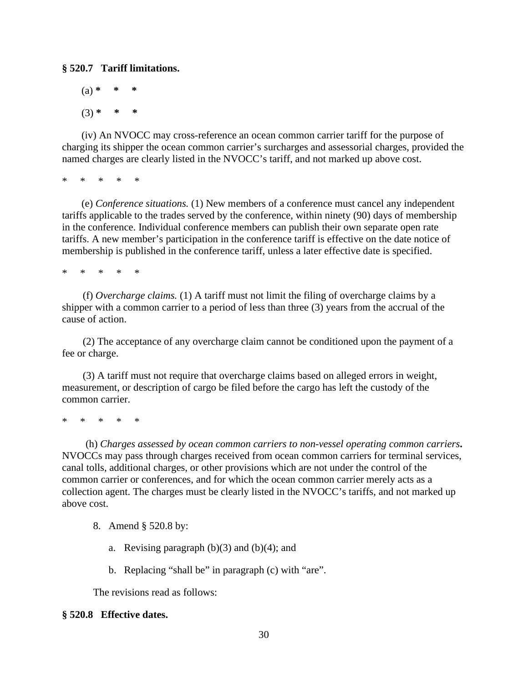# **§ 520.7 Tariff limitations.**

 $(a) *$ (3) **\* \* \***

(iv) An NVOCC may cross-reference an ocean common carrier tariff for the purpose of charging its shipper the ocean common carrier's surcharges and assessorial charges, provided the named charges are clearly listed in the NVOCC's tariff, and not marked up above cost.

\* \* \* \* \*

(e) *Conference situations.* (1) New members of a conference must cancel any independent tariffs applicable to the trades served by the conference, within ninety (90) days of membership in the conference. Individual conference members can publish their own separate open rate tariffs. A new member's participation in the conference tariff is effective on the date notice of membership is published in the conference tariff, unless a later effective date is specified.

\* \* \* \* \*

(f) *Overcharge claims.* (1) A tariff must not limit the filing of overcharge claims by a shipper with a common carrier to a period of less than three (3) years from the accrual of the cause of action.

(2) The acceptance of any overcharge claim cannot be conditioned upon the payment of a fee or charge.

(3) A tariff must not require that overcharge claims based on alleged errors in weight, measurement, or description of cargo be filed before the cargo has left the custody of the common carrier.

\* \* \* \* \*

(h) *Charges assessed by ocean common carriers to non-vessel operating common carriers***.**  NVOCCs may pass through charges received from ocean common carriers for terminal services, canal tolls, additional charges, or other provisions which are not under the control of the common carrier or conferences, and for which the ocean common carrier merely acts as a collection agent. The charges must be clearly listed in the NVOCC's tariffs, and not marked up above cost.

- 8. Amend § 520.8 by:
	- a. Revising paragraph  $(b)(3)$  and  $(b)(4)$ ; and
	- b. Replacing "shall be" in paragraph (c) with "are".

The revisions read as follows:

## **§ 520.8 Effective dates.**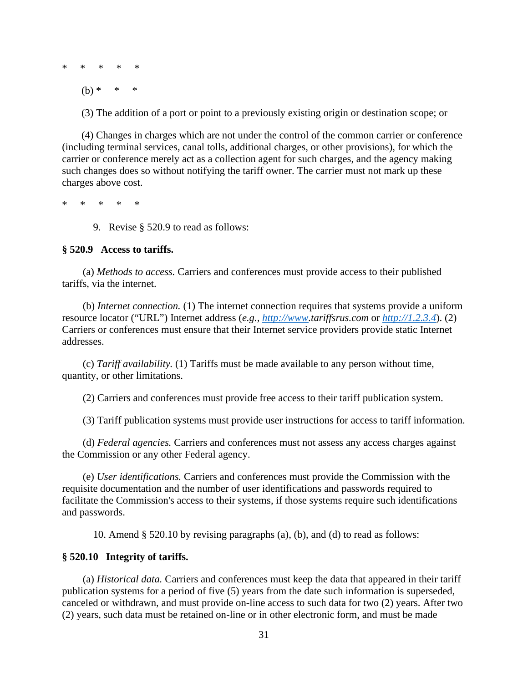\* \* \* \* \*

 $(b) * * * * *$ 

(3) The addition of a port or point to a previously existing origin or destination scope; or

(4) Changes in charges which are not under the control of the common carrier or conference (including terminal services, canal tolls, additional charges, or other provisions), for which the carrier or conference merely act as a collection agent for such charges, and the agency making such changes does so without notifying the tariff owner. The carrier must not mark up these charges above cost.

\* \* \* \* \*

9. Revise § 520.9 to read as follows:

## **§ 520.9 Access to tariffs.**

(a) *Methods to access.* Carriers and conferences must provide access to their published tariffs, via the internet.

(b) *Internet connection.* (1) The internet connection requires that systems provide a uniform resource locator ("URL") Internet address (*e.g., [http://www.](http://www/)tariffsrus.com* or *[http://1.2.3.4](http://1.2.3.4/)*). (2) Carriers or conferences must ensure that their Internet service providers provide static Internet addresses.

(c) *Tariff availability.* (1) Tariffs must be made available to any person without time, quantity, or other limitations.

(2) Carriers and conferences must provide free access to their tariff publication system.

(3) Tariff publication systems must provide user instructions for access to tariff information.

(d) *Federal agencies.* Carriers and conferences must not assess any access charges against the Commission or any other Federal agency.

(e) *User identifications.* Carriers and conferences must provide the Commission with the requisite documentation and the number of user identifications and passwords required to facilitate the Commission's access to their systems, if those systems require such identifications and passwords.

10. Amend § 520.10 by revising paragraphs (a), (b), and (d) to read as follows:

# **§ 520.10 Integrity of tariffs.**

(a) *Historical data.* Carriers and conferences must keep the data that appeared in their tariff publication systems for a period of five (5) years from the date such information is superseded, canceled or withdrawn, and must provide on-line access to such data for two (2) years. After two (2) years, such data must be retained on-line or in other electronic form, and must be made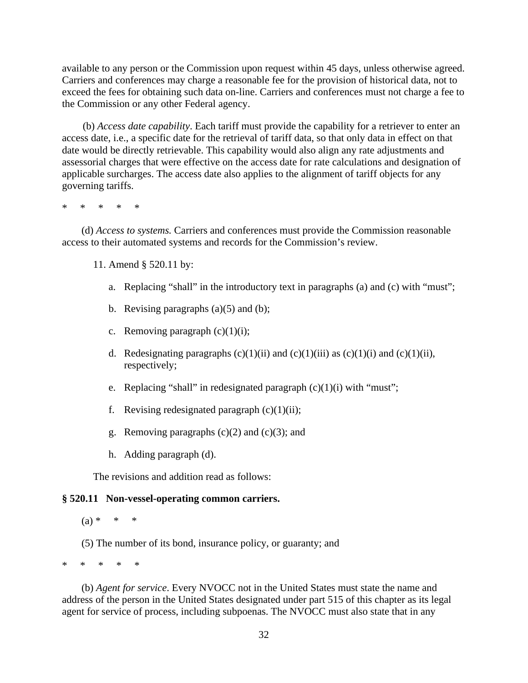available to any person or the Commission upon request within 45 days, unless otherwise agreed. Carriers and conferences may charge a reasonable fee for the provision of historical data, not to exceed the fees for obtaining such data on-line. Carriers and conferences must not charge a fee to the Commission or any other Federal agency.

(b) *Access date capability*. Each tariff must provide the capability for a retriever to enter an access date, i.e., a specific date for the retrieval of tariff data, so that only data in effect on that date would be directly retrievable. This capability would also align any rate adjustments and assessorial charges that were effective on the access date for rate calculations and designation of applicable surcharges. The access date also applies to the alignment of tariff objects for any governing tariffs.

\* \* \* \* \*

(d) *Access to systems.* Carriers and conferences must provide the Commission reasonable access to their automated systems and records for the Commission's review.

11. Amend § 520.11 by:

- a. Replacing "shall" in the introductory text in paragraphs (a) and (c) with "must";
- b. Revising paragraphs  $(a)(5)$  and  $(b)$ ;
- c. Removing paragraph  $(c)(1)(i)$ ;
- d. Redesignating paragraphs  $(c)(1)(ii)$  and  $(c)(1)(iii)$  as  $(c)(1)(i)$  and  $(c)(1)(ii)$ , respectively;
- e. Replacing "shall" in redesignated paragraph  $(c)(1)(i)$  with "must";
- f. Revising redesignated paragraph  $(c)(1)(ii)$ ;
- g. Removing paragraphs  $(c)(2)$  and  $(c)(3)$ ; and
- h. Adding paragraph (d).

The revisions and addition read as follows:

## **§ 520.11 Non-vessel-operating common carriers.**

 $(a) * * * * *$ 

(5) The number of its bond, insurance policy, or guaranty; and

\* \* \* \* \*

(b) *Agent for service*. Every NVOCC not in the United States must state the name and address of the person in the United States designated under part 515 of this chapter as its legal agent for service of process, including subpoenas. The NVOCC must also state that in any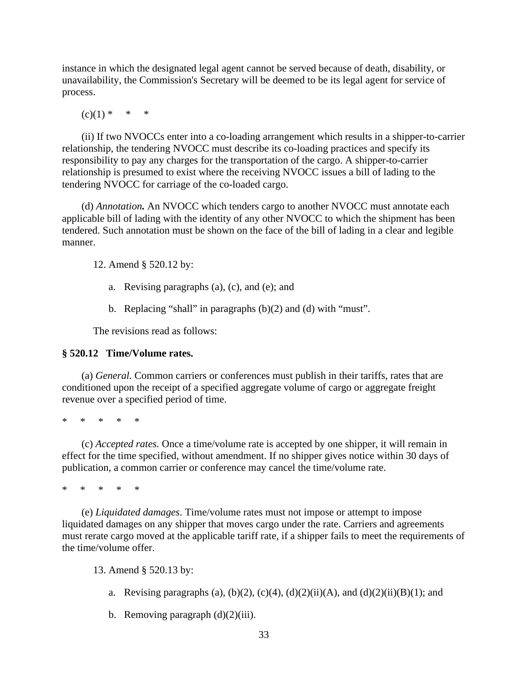instance in which the designated legal agent cannot be served because of death, disability, or unavailability, the Commission's Secretary will be deemed to be its legal agent for service of process.

 $(c)(1) * * * * *$ 

(ii) If two NVOCCs enter into a co-loading arrangement which results in a shipper-to-carrier relationship, the tendering NVOCC must describe its co-loading practices and specify its responsibility to pay any charges for the transportation of the cargo. A shipper-to-carrier relationship is presumed to exist where the receiving NVOCC issues a bill of lading to the tendering NVOCC for carriage of the co-loaded cargo.

(d) *Annotation.* An NVOCC which tenders cargo to another NVOCC must annotate each applicable bill of lading with the identity of any other NVOCC to which the shipment has been tendered. Such annotation must be shown on the face of the bill of lading in a clear and legible manner.

12. Amend § 520.12 by:

- a. Revising paragraphs (a), (c), and (e); and
- b. Replacing "shall" in paragraphs (b)(2) and (d) with "must".

The revisions read as follows:

## **§ 520.12 Time/Volume rates.**

(a) *General.* Common carriers or conferences must publish in their tariffs, rates that are conditioned upon the receipt of a specified aggregate volume of cargo or aggregate freight revenue over a specified period of time.

\* \* \* \* \*

(c) *Accepted rates.* Once a time/volume rate is accepted by one shipper, it will remain in effect for the time specified, without amendment. If no shipper gives notice within 30 days of publication, a common carrier or conference may cancel the time/volume rate.

\* \* \* \* \*

(e) *Liquidated damages*. Time/volume rates must not impose or attempt to impose liquidated damages on any shipper that moves cargo under the rate. Carriers and agreements must rerate cargo moved at the applicable tariff rate, if a shipper fails to meet the requirements of the time/volume offer.

13. Amend § 520.13 by:

- a. Revising paragraphs (a), (b)(2), (c)(4), (d)(2)(ii)(A), and (d)(2)(ii)(B)(1); and
- b. Removing paragraph (d)(2)(iii).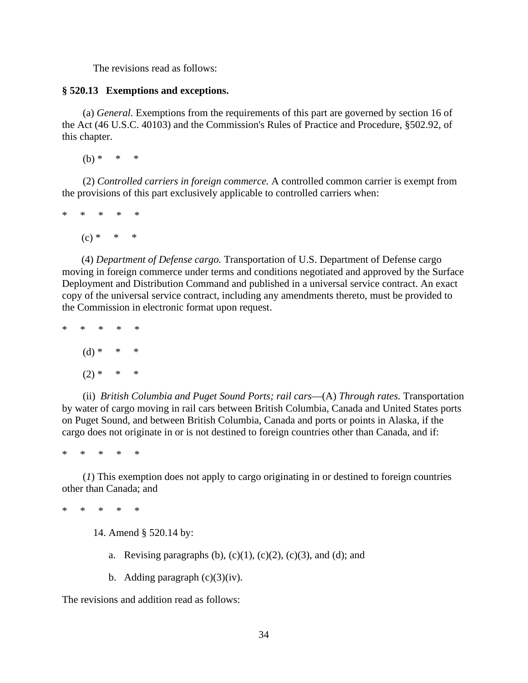The revisions read as follows:

## **§ 520.13 Exemptions and exceptions.**

(a) *General.* Exemptions from the requirements of this part are governed by section 16 of the Act (46 U.S.C. 40103) and the Commission's Rules of Practice and Procedure, §502.92, of this chapter.

 $(b) * * * * *$ 

(2) *Controlled carriers in foreign commerce.* A controlled common carrier is exempt from the provisions of this part exclusively applicable to controlled carriers when:

\* \* \* \* \*  $(c) * * * * *$ 

(4) *Department of Defense cargo.* Transportation of U.S. Department of Defense cargo moving in foreign commerce under terms and conditions negotiated and approved by the Surface Deployment and Distribution Command and published in a universal service contract. An exact copy of the universal service contract, including any amendments thereto, must be provided to the Commission in electronic format upon request.

\* \* \* \* \*  $(d)$  \*  $(2) * * * * *$ 

(ii) *British Columbia and Puget Sound Ports; rail cars*—(A) *Through rates.* Transportation by water of cargo moving in rail cars between British Columbia, Canada and United States ports on Puget Sound, and between British Columbia, Canada and ports or points in Alaska, if the cargo does not originate in or is not destined to foreign countries other than Canada, and if:

\* \* \* \* \*

(*1*) This exemption does not apply to cargo originating in or destined to foreign countries other than Canada; and

\* \* \* \* \*

14. Amend § 520.14 by:

- a. Revising paragraphs  $(b)$ ,  $(c)(1)$ ,  $(c)(2)$ ,  $(c)(3)$ , and  $(d)$ ; and
- b. Adding paragraph  $(c)(3)(iv)$ .

The revisions and addition read as follows: